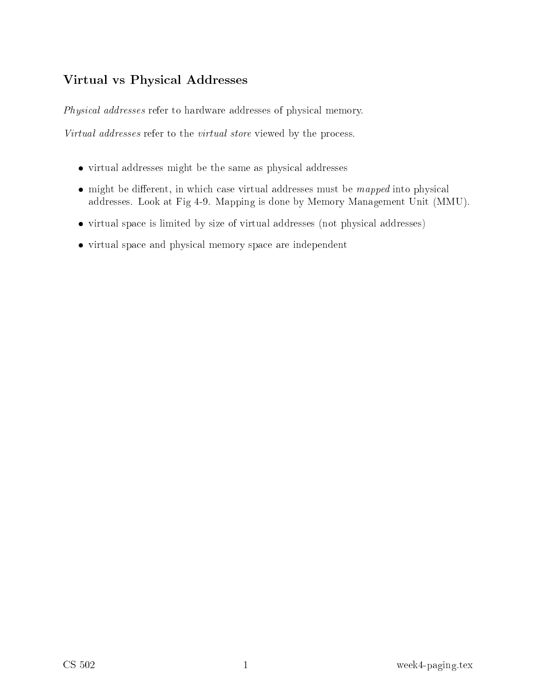## Virtual vs Physi
al Addresses

Physi
al addresses refer to hardware addresses of physi
al memory.

Virtual addresses refer to the virtual store viewed by the pro
ess.

- virtual addresses might be the same as physical addresses as physical addresses as  $\sim$
- $\bullet$  might be different, in which case virtual addresses must be *mapped* into physical addresses. Look at Fig 4-9. Mapping is done by Memory Management Unit (MMU).
- virtual space is limited by size of virtual addresses (not physical addresses)
- virtual spa
e and physi
al memory spa
e are independent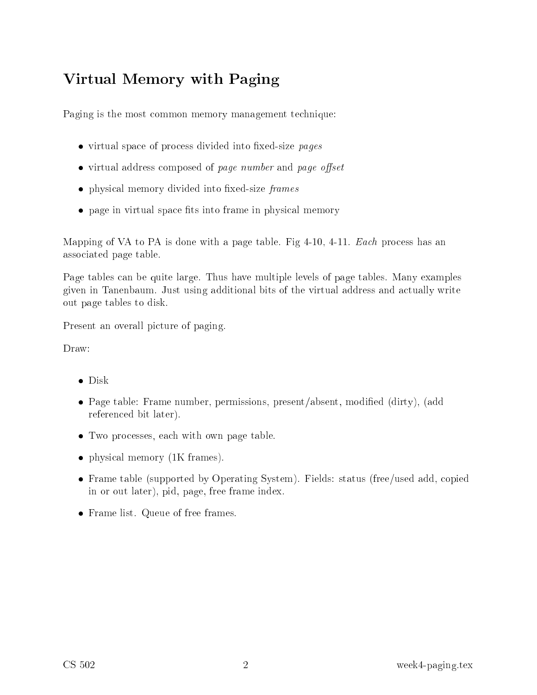# Virtual Memory with Paging

Paging is the most common memory management technique:

- $\bullet$  virtual space of process divided into fixed-size pages
- $\bullet$  virtual address composed of page number and page offset
- physical memory divided into fixed-size frames
- $\bullet$  page in virtual space fits into frame in physical memory

Mapping of VA to PA is done with a page table. Fig  $4-10$ ,  $4-11$ . Each process has an asso
iated page table.

Page tables can be quite large. Thus have multiple levels of page tables. Many examples given in Tanenbaum. Just using additional bits of the virtual address and actually write out page tables to disk.

Present an overall picture of paging.

- 
- Page table: Frame number, permissions, present/absent, modified (dirty), (add referen
ed bit later).
- Two processes, each with own page table.
- physical memory (1K frames).
- Frame table (supported by Operating System). Fields: status (free/used add, copied in or out later), pid, page, free frame index.
- Frame list. Queue of free frames.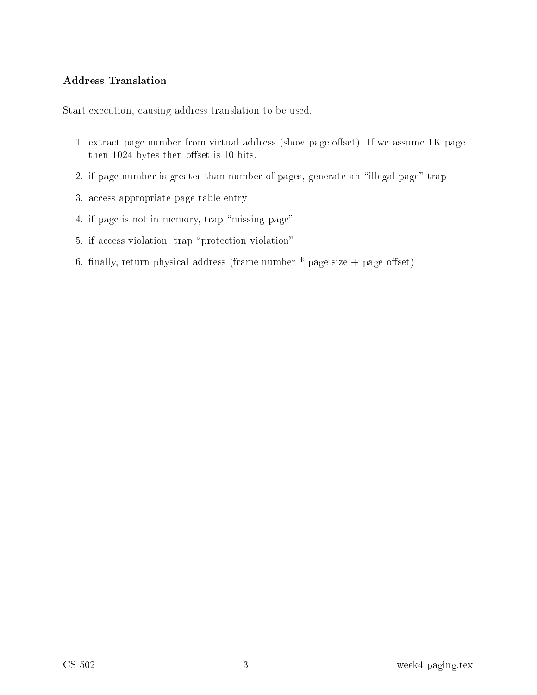#### Address Translation

Start exe
ution, ausing address translation to be used.

- 1. extract page number from virtual address (show page/offset). If we assume 1K page then 1024 bytes then offset is 10 bits.
- 2. if page number is greater than number of pages, generate an \illegal page" trap
- 3. access appropriate page table entry
- 4. if page is not in memory, trap "missing page"
- 5. if access violation, trap "protection violation"
- 6. finally, return physical address (frame number  $*$  page size  $+$  page offset)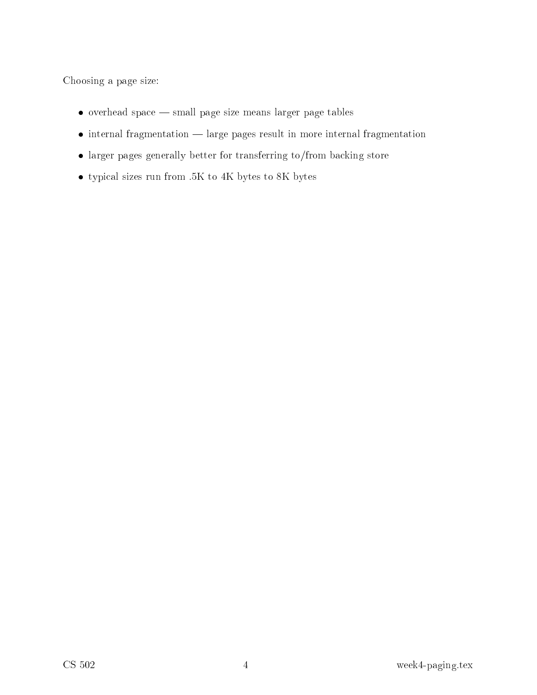Choosing a page size:

- $\bullet\,$  overhead space small page size means larger page tables
- $\bullet$  internal fragmentation  $\text{ }$  large pages result in more internal fragmentation
- larger pages generally better for transferring to/from ba
king store
- $\bullet\,$  typical sizes run from .5K to 4K bytes to 8K bytes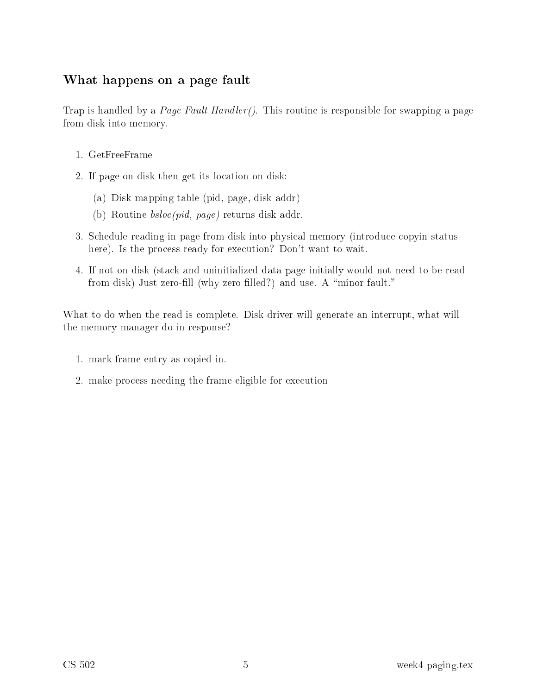## What happens on a page fault

Trap is handled by a *Page Fault Handler()*. This routine is responsible for swapping a page from disk into memory.

- 1. GetFreeFrame
- 2. If page on disk then get its lo
ation on disk:
	- (a) Disk mapping table (pid, page, disk addr)
	- (b) Routine bslo
	(pid, page) returns disk addr.
- 3. S
hedule reading in page from disk into physi
al memory (introdu
e opyin status here). Is the process ready for execution? Don't want to wait.
- 4. If not on disk (sta
k and uninitialized data page initially would not need to be read from disk) Just zero-fill (why zero filled?) and use. A "minor fault."

What to do when the read is complete. Disk driver will generate an interrupt, what will the memory manager do in response?

- 1. mark frame entry as opied in.
- 2. make process needing the frame eligible for execution